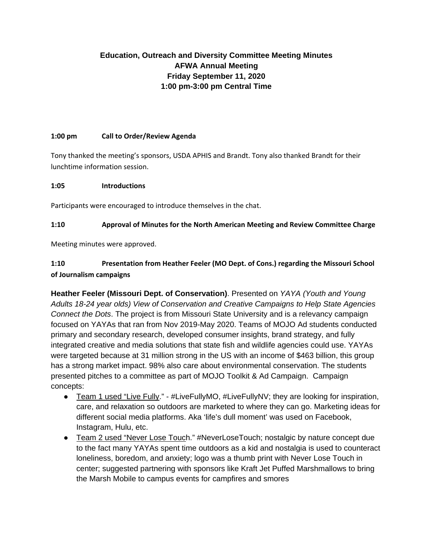# **Education, Outreach and Diversity Committee Meeting Minutes AFWA Annual Meeting Friday September 11, 2020 1:00 pm-3:00 pm Central Time**

### **1:00 pm Call to Order/Review Agenda**

Tony thanked the meeting's sponsors, USDA APHIS and Brandt. Tony also thanked Brandt for their lunchtime information session.

### **1:05 Introductions**

Participants were encouraged to introduce themselves in the chat.

### **1:10 Approval of Minutes for the North American Meeting and Review Committee Charge**

Meeting minutes were approved.

# **1:10 Presentation from Heather Feeler (MO Dept. of Cons.) regarding the Missouri School of Journalism campaigns**

**Heather Feeler (Missouri Dept. of Conservation)**. Presented on *YAYA (Youth and Young Adults 18-24 year olds) View of Conservation and Creative Campaigns to Help State Agencies Connect the Dots*. The project is from Missouri State University and is a relevancy campaign focused on YAYAs that ran from Nov 2019-May 2020. Teams of MOJO Ad students conducted primary and secondary research, developed consumer insights, brand strategy, and fully integrated creative and media solutions that state fish and wildlife agencies could use. YAYAs were targeted because at 31 million strong in the US with an income of \$463 billion, this group has a strong market impact. 98% also care about environmental conservation. The students presented pitches to a committee as part of MOJO Toolkit & Ad Campaign. Campaign concepts:

- Team 1 used "Live Fully." #LiveFullyMO, #LiveFullyNV; they are looking for inspiration, care, and relaxation so outdoors are marketed to where they can go. Marketing ideas for different social media platforms. Aka 'life's dull moment' was used on Facebook, Instagram, Hulu, etc.
- Team 2 used "Never Lose Touch." #NeverLoseTouch; nostalgic by nature concept due to the fact many YAYAs spent time outdoors as a kid and nostalgia is used to counteract loneliness, boredom, and anxiety; logo was a thumb print with Never Lose Touch in center; suggested partnering with sponsors like Kraft Jet Puffed Marshmallows to bring the Marsh Mobile to campus events for campfires and smores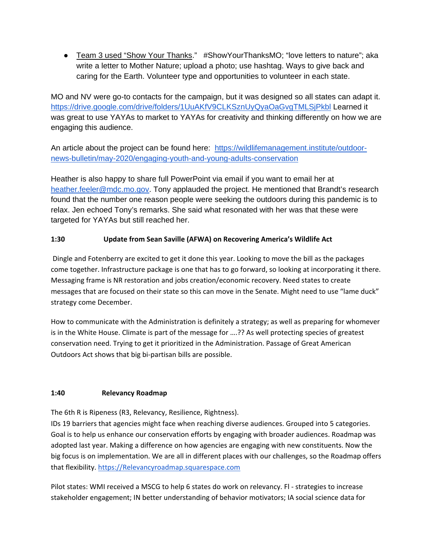● Team 3 used "Show Your Thanks." #ShowYourThanksMO; "love letters to nature"; aka write a letter to Mother Nature; upload a photo; use hashtag. Ways to give back and caring for the Earth. Volunteer type and opportunities to volunteer in each state.

MO and NV were go-to contacts for the campaign, but it was designed so all states can adapt it. <https://drive.google.com/drive/folders/1UuAKfV9CLKSznUyQyaOaGvgTMLSjPkbl> Learned it was great to use YAYAs to market to YAYAs for creativity and thinking differently on how we are engaging this audience.

An article about the project can be found here: [https://wildlifemanagement.institute/outdoor](https://wildlifemanagement.institute/outdoor-news-bulletin/may-2020/engaging-youth-and-young-adults-conservation)[news-bulletin/may-2020/engaging-youth-and-young-adults-conservation](https://wildlifemanagement.institute/outdoor-news-bulletin/may-2020/engaging-youth-and-young-adults-conservation)

Heather is also happy to share full PowerPoint via email if you want to email her at [heather.feeler@mdc.mo.gov.](mailto:heather.feeler@mdc.mo.gov) Tony applauded the project. He mentioned that Brandt's research found that the number one reason people were seeking the outdoors during this pandemic is to relax. Jen echoed Tony's remarks. She said what resonated with her was that these were targeted for YAYAs but still reached her.

## **1:30 Update from Sean Saville (AFWA) on Recovering America's Wildlife Act**

Dingle and Fotenberry are excited to get it done this year. Looking to move the bill as the packages come together. Infrastructure package is one that has to go forward, so looking at incorporating it there. Messaging frame is NR restoration and jobs creation/economic recovery. Need states to create messages that are focused on their state so this can move in the Senate. Might need to use "lame duck" strategy come December.

How to communicate with the Administration is definitely a strategy; as well as preparing for whomever is in the White House. Climate is part of the message for ….?? As well protecting species of greatest conservation need. Trying to get it prioritized in the Administration. Passage of Great American Outdoors Act shows that big bi-partisan bills are possible.

## **1:40 Relevancy Roadmap**

The 6th R is Ripeness (R3, Relevancy, Resilience, Rightness).

IDs 19 barriers that agencies might face when reaching diverse audiences. Grouped into 5 categories. Goal is to help us enhance our conservation efforts by engaging with broader audiences. Roadmap was adopted last year. Making a difference on how agencies are engaging with new constituents. Now the big focus is on implementation. We are all in different places with our challenges, so the Roadmap offers that flexibility. [https://Relevancyroadmap.squarespace.com](https://relevancyroadmap.squarespace.com/)

Pilot states: WMI received a MSCG to help 6 states do work on relevancy. Fl - strategies to increase stakeholder engagement; IN better understanding of behavior motivators; IA social science data for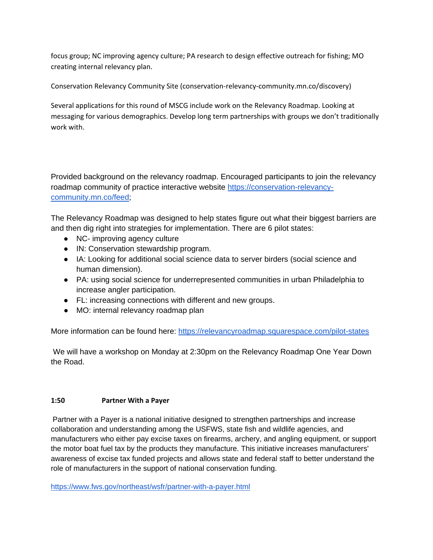focus group; NC improving agency culture; PA research to design effective outreach for fishing; MO creating internal relevancy plan.

Conservation Relevancy Community Site (conservation-relevancy-community.mn.co/discovery)

Several applications for this round of MSCG include work on the Relevancy Roadmap. Looking at messaging for various demographics. Develop long term partnerships with groups we don't traditionally work with.

Provided background on the relevancy roadmap. Encouraged participants to join the relevancy roadmap community of practice interactive website [https://conservation-relevancy](https://conservation-relevancy-community.mn.co/feed)[community.mn.co/feed;](https://conservation-relevancy-community.mn.co/feed)

The Relevancy Roadmap was designed to help states figure out what their biggest barriers are and then dig right into strategies for implementation. There are 6 pilot states:

- NC- improving agency culture
- IN: Conservation stewardship program.
- IA: Looking for additional social science data to server birders (social science and human dimension).
- PA: using social science for underrepresented communities in urban Philadelphia to increase angler participation.
- FL: increasing connections with different and new groups.
- MO: internal relevancy roadmap plan

More information can be found here:<https://relevancyroadmap.squarespace.com/pilot-states>

We will have a workshop on Monday at 2:30pm on the Relevancy Roadmap One Year Down the Road.

## **1:50 Partner With a Payer**

Partner with a Payer is a national initiative designed to strengthen partnerships and increase collaboration and understanding among the USFWS, state fish and wildlife agencies, and manufacturers who either pay excise taxes on firearms, archery, and angling equipment, or support the motor boat fuel tax by the products they manufacture. This initiative increases manufacturers' awareness of excise tax funded projects and allows state and federal staff to better understand the role of manufacturers in the support of national conservation funding.

<https://www.fws.gov/northeast/wsfr/partner-with-a-payer.html>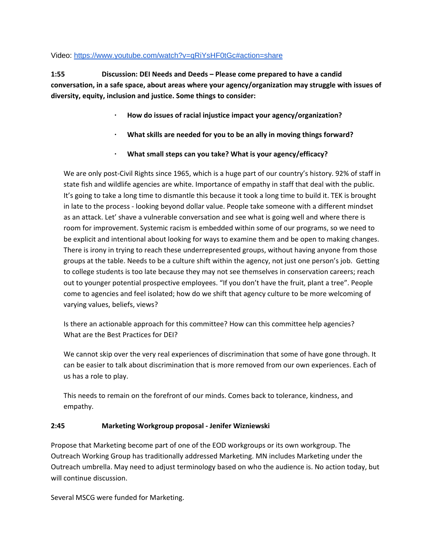### Video:<https://www.youtube.com/watch?v=qRiYsHF0tGc#action=share>

**1:55 Discussion: DEI Needs and Deeds – Please come prepared to have a candid conversation, in a safe space, about areas where your agency/organization may struggle with issues of diversity, equity, inclusion and justice. Some things to consider:**

- **· How do issues of racial injustice impact your agency/organization?**
- **· What skills are needed for you to be an ally in moving things forward?**
- **· What small steps can you take? What is your agency/efficacy?**

We are only post-Civil Rights since 1965, which is a huge part of our country's history. 92% of staff in state fish and wildlife agencies are white. Importance of empathy in staff that deal with the public. It's going to take a long time to dismantle this because it took a long time to build it. TEK is brought in late to the process - looking beyond dollar value. People take someone with a different mindset as an attack. Let' shave a vulnerable conversation and see what is going well and where there is room for improvement. Systemic racism is embedded within some of our programs, so we need to be explicit and intentional about looking for ways to examine them and be open to making changes. There is irony in trying to reach these underrepresented groups, without having anyone from those groups at the table. Needs to be a culture shift within the agency, not just one person's job. Getting to college students is too late because they may not see themselves in conservation careers; reach out to younger potential prospective employees. "If you don't have the fruit, plant a tree". People come to agencies and feel isolated; how do we shift that agency culture to be more welcoming of varying values, beliefs, views?

Is there an actionable approach for this committee? How can this committee help agencies? What are the Best Practices for DEI?

We cannot skip over the very real experiences of discrimination that some of have gone through. It can be easier to talk about discrimination that is more removed from our own experiences. Each of us has a role to play.

This needs to remain on the forefront of our minds. Comes back to tolerance, kindness, and empathy.

## **2:45 Marketing Workgroup proposal - Jenifer Wizniewski**

Propose that Marketing become part of one of the EOD workgroups or its own workgroup. The Outreach Working Group has traditionally addressed Marketing. MN includes Marketing under the Outreach umbrella. May need to adjust terminology based on who the audience is. No action today, but will continue discussion.

Several MSCG were funded for Marketing.